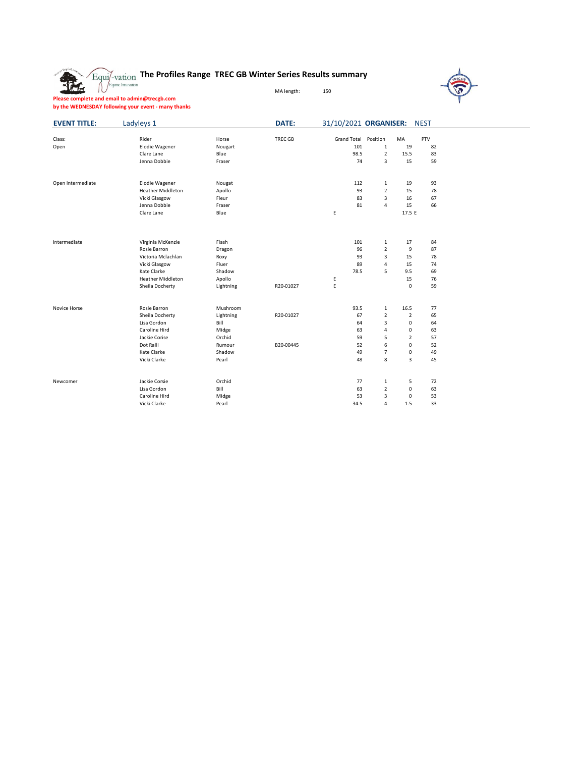## **The Profiles Range TREC GB Winter Series Results summary**

MA length: 150



**Please complete and email to admin@trecgb.com by the WEDNESDAY following your event - many thanks**

盘

| <b>EVENT TITLE:</b> | Ladyleys 1               |           | DATE:     | 31/10/2021 ORGANISER: |                         |                | <b>NEST</b> |  |
|---------------------|--------------------------|-----------|-----------|-----------------------|-------------------------|----------------|-------------|--|
|                     |                          |           |           |                       |                         |                |             |  |
| Class:              | Rider                    | Horse     | TREC GB   | <b>Grand Total</b>    | Position                | MA             | PTV         |  |
| Open                | <b>Elodie Wagener</b>    | Nougart   |           | 101                   | $\mathbf 1$             | 19             | 82          |  |
|                     | Clare Lane               | Blue      |           | 98.5                  | $\overline{2}$          | 15.5           | 83          |  |
|                     | Jenna Dobbie             | Fraser    |           | 74                    | 3                       | 15             | 59          |  |
| Open Intermediate   | <b>Elodie Wagener</b>    | Nougat    |           | 112                   | $\mathbf{1}$            | 19             | 93          |  |
|                     | <b>Heather Middleton</b> | Apollo    |           | 93                    | $\overline{\mathbf{2}}$ | 15             | 78          |  |
|                     | Vicki Glasgow            | Fleur     |           | 83                    | 3                       | 16             | 67          |  |
|                     | Jenna Dobbie             | Fraser    |           | 81                    | 4                       | 15             | 66          |  |
|                     | Clare Lane               | Blue      |           | Ε                     |                         | 17.5 E         |             |  |
|                     |                          |           |           |                       |                         |                |             |  |
| Intermediate        | Virginia McKenzie        | Flash     |           | 101                   | $\mathbf{1}$            | 17             | 84          |  |
|                     | Rosie Barron             | Dragon    |           | 96                    | $\overline{2}$          | 9              | 87          |  |
|                     | Victoria Mclachlan       | Roxy      |           | 93                    | 3                       | 15             | 78          |  |
|                     | Vicki Glasgow            | Fluer     |           | 89                    | 4                       | 15             | 74          |  |
|                     | Kate Clarke              | Shadow    |           | 78.5                  | 5                       | 9.5            | 69          |  |
|                     | <b>Heather Middleton</b> | Apollo    |           | Ε                     |                         | 15             | 76          |  |
|                     | Sheila Docherty          | Lightning | R20-01027 | E                     |                         | $\mathbf 0$    | 59          |  |
| Novice Horse        | Rosie Barron             | Mushroom  |           | 93.5                  | $\mathbf{1}$            | 16.5           | 77          |  |
|                     | Sheila Docherty          | Lightning | R20-01027 | 67                    | $\overline{2}$          | 2              | 65          |  |
|                     | Lisa Gordon              | Bill      |           | 64                    | 3                       | 0              | 64          |  |
|                     | Caroline Hird            | Midge     |           | 63                    | 4                       | 0              | 63          |  |
|                     | Jackie Corise            | Orchid    |           | 59                    | 5                       | $\overline{2}$ | 57          |  |
|                     | Dot Ralli                | Rumour    | B20-00445 | 52                    | 6                       | 0              | 52          |  |
|                     | Kate Clarke              | Shadow    |           | 49                    | $\overline{7}$          | 0              | 49          |  |
|                     | Vicki Clarke             | Pearl     |           | 48                    | 8                       | 3              | 45          |  |
|                     |                          |           |           |                       |                         |                |             |  |
| Newcomer            | Jackie Corsie            | Orchid    |           | 77                    | $\mathbf{1}$            | 5              | 72          |  |
|                     | Lisa Gordon              | Bill      |           | 63                    | $\overline{\mathbf{2}}$ | 0              | 63          |  |
|                     | Caroline Hird            | Midge     |           | 53                    | 3                       | 0              | 53          |  |
|                     | Vicki Clarke             | Pearl     |           | 34.5                  | 4                       | 1.5            | 33          |  |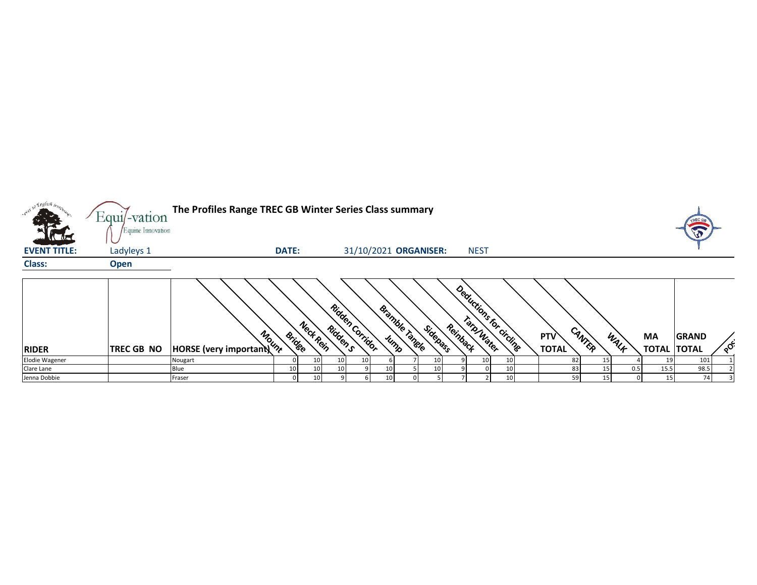| so English boy<br>$\pi$ | $Equi$ -vation<br>Equine Innovation | The Profiles Range TREC GB Winter Series Class summary |              |                 |          |                       |                               |          |          |                          |    |                     |        |    |      |                          |              |  |
|-------------------------|-------------------------------------|--------------------------------------------------------|--------------|-----------------|----------|-----------------------|-------------------------------|----------|----------|--------------------------|----|---------------------|--------|----|------|--------------------------|--------------|--|
| <b>EVENT TITLE:</b>     | Ladyleys 1                          |                                                        | <b>DATE:</b> |                 |          | 31/10/2021 ORGANISER: |                               |          |          | <b>NEST</b>              |    |                     |        |    |      |                          |              |  |
| <b>Class:</b>           | <b>Open</b>                         |                                                        |              |                 |          |                       |                               |          |          |                          |    |                     |        |    |      |                          |              |  |
| <b>RIDER</b>            | <b>TREC GB NO</b>                   | HORSE (very important)                                 | Bridge       | Neck Rein       | Ridden s | Ridden Corridor       | <b>Bramble Tangle</b><br>Jump | Sidepass | Reinback | Deductions for circlings |    | PTV<br><b>TOTAL</b> | CANTER |    | WALF | МA<br><b>TOTAL TOTAL</b> | <b>GRAND</b> |  |
| Elodie Wagener          |                                     | Nougart                                                |              | 10              |          |                       |                               | 10       |          | 10                       |    |                     | 82     |    |      | 19                       | 101          |  |
| Clare Lane              |                                     | Blue                                                   | 10           | 10              |          |                       | 10                            | 10       |          |                          | 10 |                     |        |    | 0.5  | 15.5                     | 98.5         |  |
| Jenna Dobbie            |                                     | Fraser                                                 | 0            | 10 <sub>1</sub> |          |                       | 10 <sub>1</sub>               |          |          |                          |    |                     | 59     | 15 |      | 15                       | 74           |  |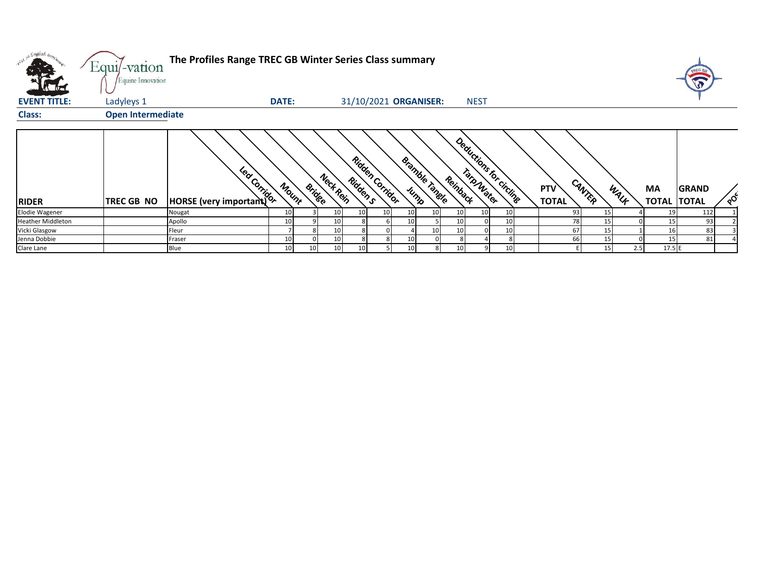| what so English bronze   | Equi/-vation<br>Equine Innovation | The Profiles Range TREC GB Winter Series Class summary                                                                                                                                                                               |              |               |                 |                 |                        |                 |                       |          |                          |  |                     |          |           |                           |                              |  |
|--------------------------|-----------------------------------|--------------------------------------------------------------------------------------------------------------------------------------------------------------------------------------------------------------------------------------|--------------|---------------|-----------------|-----------------|------------------------|-----------------|-----------------------|----------|--------------------------|--|---------------------|----------|-----------|---------------------------|------------------------------|--|
| <b>EVENT TITLE:</b>      | Ladyleys 1                        |                                                                                                                                                                                                                                      | <b>DATE:</b> |               |                 |                 |                        |                 | 31/10/2021 ORGANISER: |          | <b>NEST</b>              |  |                     |          |           |                           |                              |  |
| <b>Class:</b>            | <b>Open Intermediate</b>          |                                                                                                                                                                                                                                      |              |               |                 |                 |                        |                 |                       |          |                          |  |                     |          |           |                           |                              |  |
| <b>RIDER</b>             | <b>TREC GB NO</b>                 | <b>Pay Control Composed Composed Composed Composed Composed Composed Composed Composed Composed Composed Composed Composed Composed Composed Composed Composed Composed Composed Composed Composed Composed Composed Composed Co</b> | Mount        | <b>Bridge</b> | Nect Rein       | Ridden s        | <b>Ridden Corridor</b> | Jump            | <b>Bramble Tangle</b> | Reinback | Deductions for circlinge |  | PTV<br><b>TOTAL</b> | CANTER   | WALK      | <b>MA</b><br><b>TOTAL</b> | <b>GRAND</b><br><b>TOTAL</b> |  |
| Elodie Wagener           |                                   | Nougat                                                                                                                                                                                                                               | 10           |               | 10 <sup>1</sup> | 10 <sup>1</sup> | 10                     | 10 <sup>1</sup> | 10 <sup>1</sup>       |          |                          |  |                     | 93<br>15 |           |                           | 112                          |  |
| <b>Heather Middleton</b> |                                   | Apollo                                                                                                                                                                                                                               | 10           |               | 10              |                 |                        |                 |                       |          |                          |  |                     | 78       |           |                           | 93                           |  |
| Vicki Glasgow            |                                   | Fleur                                                                                                                                                                                                                                |              |               | 10              |                 |                        |                 | 10 <sup>1</sup>       |          |                          |  |                     | 67       | 15        |                           | 83                           |  |
| Jenna Dobbie             |                                   | Fraser                                                                                                                                                                                                                               | 10           |               | 10              |                 |                        | 10              |                       |          |                          |  |                     | 66<br>15 |           |                           | 81                           |  |
| Clare Lane               |                                   | Blue                                                                                                                                                                                                                                 | 10           | 10            | 10              | 10              |                        | 10 <sup>1</sup> | 8                     |          |                          |  |                     |          | 2.5<br>15 | 17.5 E                    |                              |  |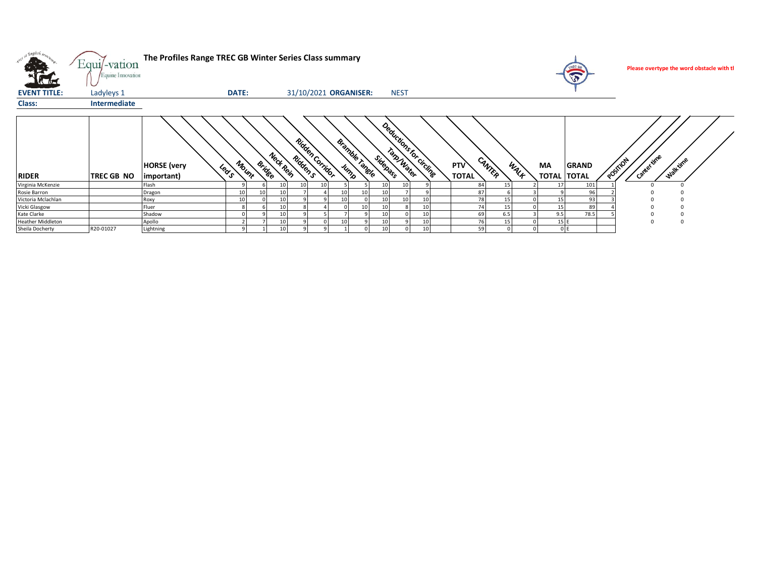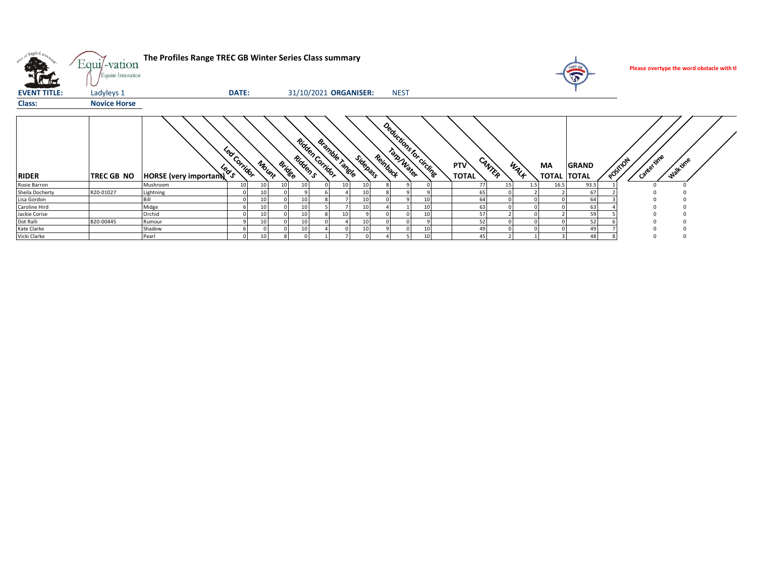| <b>STARS</b>        | Equi/-vation<br>Equine Innovation | The Profiles Range TREC GB Winter Series Class summary  |                      |                        |                          |                           |             |                        |                               |                                  |              | Please overtype the word obstacle with tl |
|---------------------|-----------------------------------|---------------------------------------------------------|----------------------|------------------------|--------------------------|---------------------------|-------------|------------------------|-------------------------------|----------------------------------|--------------|-------------------------------------------|
| <b>EVENT TITLE:</b> | Ladyleys 1                        |                                                         | DATE:                |                        |                          | 31/10/2021 ORGANISER:     | <b>NEST</b> |                        |                               |                                  |              |                                           |
| Class:              | <b>Novice Horse</b>               |                                                         |                      |                        |                          |                           |             |                        |                               |                                  |              |                                           |
| <b>RIDER</b>        | <b>TREC GB NO</b>                 | $\mathcal{C}_{\infty}$<br><b>HORSE</b> (very important) | Led Corridor<br>′ າົ | <b>Bridge</b><br>Mount | Ridden Gridor<br>Riddens | Bramble Tangle<br>Sidepan | Reinback    | Deductions for circums | CANTER<br>PTV<br><b>TOTAL</b> | WALF<br>MA<br><b>TOTAL TOTAL</b> | <b>GRAND</b> | Cantertime<br>Walk time<br>POSTION        |
| Rosie Barron        |                                   | Mushroom                                                | 10                   | 10<br>10               | 10                       | 10<br>10                  |             |                        | 77<br>15                      | 16.5<br>1.5                      | 93.5         |                                           |
| Sheila Docherty     | R20-01027                         | Lightning                                               |                      |                        |                          | 10                        |             |                        | 65                            |                                  | 67           |                                           |
| Lisa Gordon         |                                   | Bill                                                    |                      | 10                     | 10                       | 10                        |             | 10                     | 64                            |                                  | 64           |                                           |
| Caroline Hird       |                                   | Midge                                                   |                      | 10                     | 10                       | 10                        |             | 10 <sup>1</sup>        | 63                            |                                  | 63           |                                           |
| Jackie Corise       |                                   | Orchid                                                  |                      | 10                     | 10                       | 10                        |             | 10 <sup>1</sup>        | 57                            |                                  | 59           |                                           |
| Dot Ralli           | B20-00445                         | Rumour                                                  |                      |                        | 10                       | 10                        |             |                        | 52                            |                                  | 52           |                                           |
| Kate Clarke         |                                   | Shadow                                                  |                      |                        | 10                       | 10                        |             | 10                     | 49                            |                                  | 49           |                                           |
| Vicki Clarke        |                                   | Pearl                                                   |                      | 10                     |                          |                           |             | 10 <sup>1</sup>        | 45                            |                                  | 48           |                                           |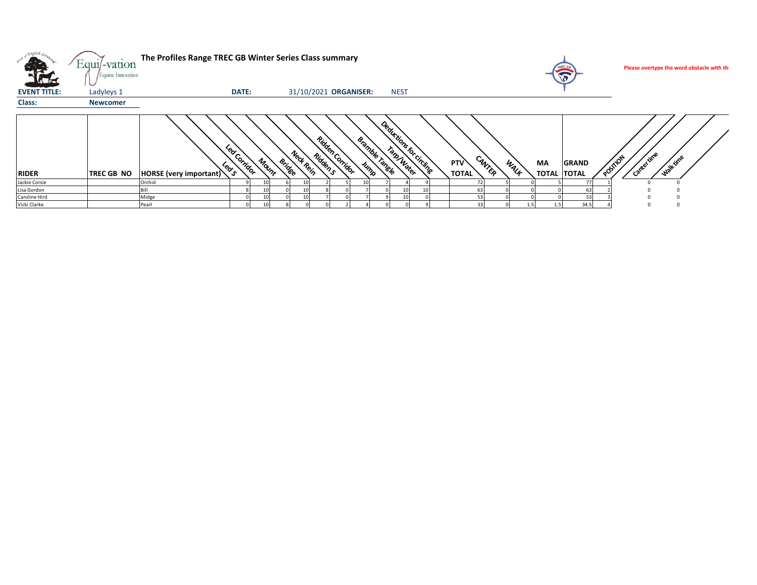| æ.                  | $Equi$ -vation<br>Equine Innovation | The Profiles Range TREC GB Winter Series Class summary |                                                  |                        |           |                                                 |                               |                                      |                   | TREC GA<br>$\widehat{\mathbf{v}}$  | Please overtype the word obstacle with th |
|---------------------|-------------------------------------|--------------------------------------------------------|--------------------------------------------------|------------------------|-----------|-------------------------------------------------|-------------------------------|--------------------------------------|-------------------|------------------------------------|-------------------------------------------|
| <b>EVENT TITLE:</b> | Ladyleys 1                          |                                                        | DATE:                                            |                        |           | 31/10/2021 ORGANISER:                           | <b>NEST</b>                   |                                      |                   |                                    |                                           |
| Class:              | <b>Newcomer</b>                     |                                                        |                                                  |                        |           |                                                 |                               |                                      |                   |                                    |                                           |
| <b>RIDER</b>        | <b>TREC GB NO</b>                   | HORSE (very important)                                 | <b>PO</b><br>ັດ<br>Corridor<br>ັ <sup>ດ</sup> ຊັ | Mount<br><b>Bridge</b> | Nect Rein | Ridden Corridor<br>Bramble x<br>Riddens<br>Jump | Deedlerings by Christian Band | CANTER<br><b>PTV</b><br><b>TOTAL</b> | <b>MA</b><br>WALK | <b>GRAND</b><br><b>TOTAL TOTAL</b> | Canter time<br>Walktime<br><b>POSTION</b> |
| Jackie Corsie       |                                     | Orchid                                                 |                                                  |                        |           |                                                 |                               | 72                                   |                   |                                    |                                           |
| Lisa Gordon         |                                     |                                                        |                                                  |                        |           |                                                 |                               | 63                                   |                   |                                    |                                           |
| Caroline Hird       |                                     | Midge                                                  |                                                  |                        |           |                                                 |                               | 53                                   |                   |                                    |                                           |
| Vicki Clarke        |                                     | Pearl                                                  |                                                  |                        |           |                                                 |                               | 33                                   |                   | 34.5                               |                                           |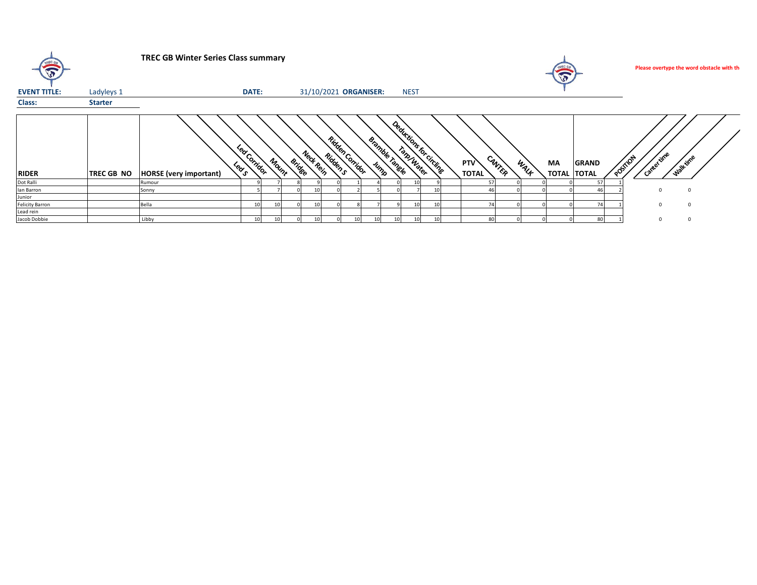| $\bigcirc$             |                   | <b>TREC GB Winter Series Class summary</b>   |              |       |        |                       |          |                 |                   |        |             |                       |                            |        |      |                          |              |                |            | Please overtype the word obstacle with th |  |
|------------------------|-------------------|----------------------------------------------|--------------|-------|--------|-----------------------|----------|-----------------|-------------------|--------|-------------|-----------------------|----------------------------|--------|------|--------------------------|--------------|----------------|------------|-------------------------------------------|--|
| <b>EVENT TITLE:</b>    | Ladyleys 1        |                                              | DATE:        |       |        | 31/10/2021 ORGANISER: |          |                 |                   |        | <b>NEST</b> |                       |                            |        |      |                          |              |                |            |                                           |  |
| Class:                 | <b>Starter</b>    |                                              |              |       |        |                       |          |                 |                   |        |             |                       |                            |        |      |                          |              |                |            |                                           |  |
| <b>RIDER</b>           | <b>TREC GB NO</b> | <b>PROV</b><br><b>HORSE</b> (very important) | Led Corridor | Mount | Bridee | Nect Rein             | Ridden s | Ridden Corridor | Bramble X<br>Jump | Tangle | Tato Water  | Dealtriche forcitaine | <b>PTV</b><br><b>TOTAL</b> | CANTER | WALK | МA<br><b>TOTAL TOTAL</b> | <b>GRAND</b> | <b>OSTILON</b> | Canterinne | Walk time                                 |  |
| Dot Ralli              |                   | Rumour                                       |              |       |        |                       |          |                 |                   |        |             |                       |                            |        |      |                          |              |                |            |                                           |  |
| lan Barron             |                   | Sonny                                        |              |       |        |                       |          |                 |                   |        |             |                       |                            |        |      |                          |              |                |            |                                           |  |
| Junior                 |                   |                                              |              |       |        |                       |          |                 |                   |        |             |                       |                            |        |      |                          |              |                |            |                                           |  |
| <b>Felicity Barron</b> |                   | Bella                                        |              |       |        |                       |          |                 |                   |        |             |                       |                            |        |      |                          |              |                |            | $\Omega$                                  |  |
| Lead rein              |                   |                                              |              |       |        |                       |          |                 |                   |        |             |                       |                            |        |      |                          |              |                |            |                                           |  |
| Jacob Dobbie           |                   | Libby                                        | 10           |       |        |                       |          |                 | 10                |        |             |                       | 80                         |        |      |                          | 80           |                |            |                                           |  |